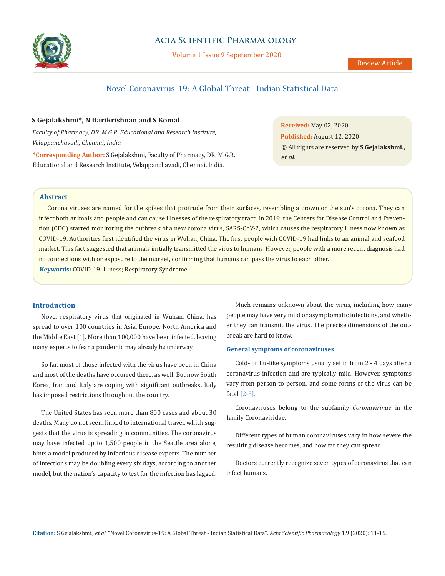

# **Acta Scientific Pharmacology**

Volume 1 Issue 9 Sepetember 2020

# Novel Coronavirus-19: A Global Threat - Indian Statistical Data

## **S Gejalakshmi\*, N Harikrishnan and S Komal**

*Faculty of Pharmacy, DR. M.G.R. Educational and Research Institute, Velappanchavadi, Chennai, India*

**\*Corresponding Author:** S Gejalakshmi, Faculty of Pharmacy, DR. M.G.R. Educational and Research Institute, Velappanchavadi, Chennai, India.

**Received:** May 02, 2020 **Published:** August 12, 2020 © All rights are reserved by **S Gejalakshmi.,**  *et al.*

## **Abstract**

**Keywords:** COVID-19; Illness; Respiratory Syndrome Corona viruses are named for the spikes that protrude from their surfaces, resembling a crown or the sun's corona. They can infect both animals and people and can cause illnesses of the respiratory tract. In 2019, the Centers for Disease Control and Prevention (CDC) started monitoring the outbreak of a new corona virus, SARS-CoV-2, which causes the respiratory illness now known as COVID-19. Authorities first identified the virus in Wuhan, China. The first people with COVID-19 had links to an animal and seafood market. This fact suggested that animals initially transmitted the virus to humans. However, people with a more recent diagnosis had no connections with or exposure to the market, confirming that humans can pass the virus to each other.

### **Introduction**

Novel respiratory [virus](https://www.nytimes.com/2020/02/20/world/asia/china-coronavirus.html) that originated in [Wuhan, China](https://www.nytimes.com/2020/02/12/world/asia/china-coronavirus-students.html), has spread to over 100 countries in Asia, Europe, North America and the Middle East [1]. More than 100,000 have been infected, leaving many experts [to fear a pandemic](https://www.nytimes.com/2020/02/02/health/coronavirus-pandemic-china.html) may already be underway.

So far, most of those infected with the virus have been in China and most of the deaths have occurred there, as well. But now South Korea, Iran and Italy are coping with significant outbreaks. Italy has imposed restrictions throughout the country.

The United States has seen more than 800 cases and about 30 deaths. Many do not seem linked to international travel, which suggests that the virus is spreading in communities. The coronavirus may have infected up to 1,500 people in the Seattle area alone, hints a model produced by infectious disease experts. The number of infections may be [doubling every six days,](https://www.thelancet.com/journals/lancet/article/PIIS0140-6736(20)30260-9/fulltext) according to another model, but the nation's capacity to test for the infection has lagged.

Much remains unknown about the [virus](https://www.nytimes.com/2020/02/20/world/asia/china-coronavirus.html), including how many people may have very mild or asymptomatic infections, and whether they can transmit the virus. The precise dimensions of the outbreak are hard to know.

# **General symptoms of coronaviruses**

Cold- or flu-like symptoms usually set in from 2 - 4 days after a coronavirus infection and are typically mild. However, symptoms vary from person-to-person, and some forms of the virus can be fatal [2-5].

Coronaviruses belong to the subfamily *Coronavirinae* in the family [Coronaviridae.](https://www.sciencedirect.com/topics/neuroscience/coronavirinae)

Different types of human coronaviruses vary in how severe the resulting disease becomes, and how far they can spread.

Doctors currently recognize seven types of coronavirus that can infect humans.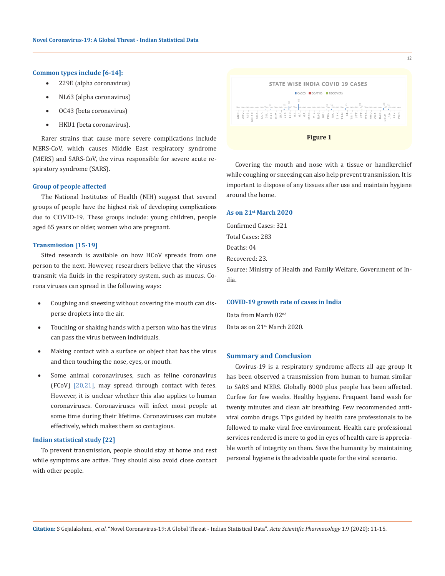#### **[Common types](https://www.cdc.gov/coronavirus/types.html) include [6-14]:**

- • 229E (alpha coronavirus)
- NL63 (alpha coronavirus)
- OC43 (beta coronavirus)
- • HKU1 (beta coronavirus).

Rarer strains that cause more severe complications include MERS-CoV, which causes Middle East respiratory syndrome [\(MERS\)](https://www.medicalnewstoday.com/articles/262538) and SARS-CoV, the virus responsible for severe acute respiratory syndrome [\(SARS](https://www.medicalnewstoday.com/articles/7543)).

#### **Group of people affected**

The National Institutes of Health (NIH) suggest that several groups of people have the highest risk of developing complications due to COVID-19. These groups include: young children, people aged 65 years or older, women who are pregnant.

#### **Transmission [15-19]**

Sited research is available on how HCoV spreads from one person to the next. However, researchers believe that the viruses transmit via fluids in the respiratory system, such as mucus. Corona viruses can spread in the following ways:

- Coughing and sneezing without covering the mouth can disperse droplets into the air.
- Touching or shaking hands with a person who has the virus can pass the virus between individuals.
- Making contact with a surface or object that has the virus and then touching the nose, eyes, or mouth.
- Some animal coronaviruses, such as feline coronavirus (FCoV) [20,21], may spread through [contact with feces.](https://www.ncbi.nlm.nih.gov/pubmed/31094626) However, it is unclear whether this also applies to human coronaviruses. Coronaviruses will infect most people at some time during their lifetime. Coronaviruses can mutate effectively, which makes them [so contagious](http://www.mdpi.com/2079-9721/4/3/26).

# **Indian statistical study [22]**

To prevent transmission, people should stay at home and rest while symptoms are active. They should also avoid close contact with other people.



12



Covering the mouth and nose with a tissue or handkerchief while coughing or sneezing can also help prevent transmission. It is important to dispose of any tissues after use and maintain hygiene around the home.

### **As on 21st March 2020**

Confirmed Cases: 321 Total Cases: 283 Deaths: 04 Recovered: 23.

Source: [Ministry of Health and Family Welfare](https://www.mohfw.gov.in/), Government of India.

### **COVID-19 growth rate of cases in India**

Data from March 02nd Data as on 21st March 2020.

### **Summary and Conclusion**

Covirus-19 is a respiratory syndrome affects all age group It has been observed a transmission from human to human similar to SARS and MERS. Globally 8000 plus people has been affected. Curfew for few weeks. Healthy hygiene. Frequent hand wash for twenty minutes and clean air breathing. Few recommended antiviral combo drugs. Tips guided by health care professionals to be followed to make viral free environment. Health care professional services rendered is mere to god in eyes of health care is appreciable worth of integrity on them. Save the humanity by maintaining personal hygiene is the advisable quote for the viral scenario.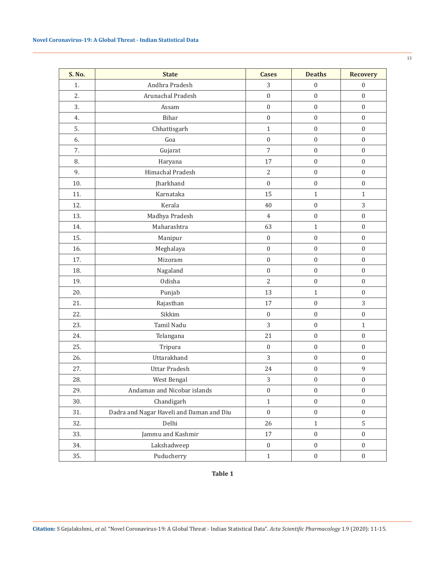| S. No. | <b>State</b>                             | <b>Cases</b>     | <b>Deaths</b>    | <b>Recovery</b>  |
|--------|------------------------------------------|------------------|------------------|------------------|
| 1.     | Andhra Pradesh                           | 3                | $\mathbf{0}$     | $\boldsymbol{0}$ |
| 2.     | Arunachal Pradesh                        | $\boldsymbol{0}$ | $\boldsymbol{0}$ | $\boldsymbol{0}$ |
| 3.     | Assam                                    | $\boldsymbol{0}$ | $\mathbf{0}$     | $\mathbf{0}$     |
| 4.     | Bihar                                    | $\mathbf{0}$     | $\mathbf{0}$     | $\mathbf{0}$     |
| 5.     | Chhattisgarh                             | $\mathbf{1}$     | $\mathbf{0}$     | $\mathbf{0}$     |
| 6.     | Goa                                      | $\mathbf{0}$     | $\boldsymbol{0}$ | $\mathbf{0}$     |
| 7.     | Gujarat                                  | $\overline{7}$   | $\boldsymbol{0}$ | $\mathbf{0}$     |
| 8.     | Haryana                                  | 17               | $\mathbf{0}$     | $\mathbf{0}$     |
| 9.     | Himachal Pradesh                         | $\overline{2}$   | $\mathbf{0}$     | $\mathbf{0}$     |
| 10.    | Jharkhand                                | $\mathbf{0}$     | $\boldsymbol{0}$ | $\boldsymbol{0}$ |
| 11.    | Karnataka                                | 15               | $\mathbf{1}$     | $\mathbf{1}$     |
| 12.    | Kerala                                   | 40               | $\boldsymbol{0}$ | 3                |
| 13.    | Madhya Pradesh                           | $\overline{4}$   | $\mathbf{0}$     | $\mathbf{0}$     |
| 14.    | Maharashtra                              | 63               | $\mathbf{1}$     | $\mathbf{0}$     |
| 15.    | Manipur                                  | $\boldsymbol{0}$ | $\boldsymbol{0}$ | $\mathbf{0}$     |
| 16.    | Meghalaya                                | $\mathbf{0}$     | $\mathbf{0}$     | $\mathbf{0}$     |
| 17.    | Mizoram                                  | $\boldsymbol{0}$ | $\mathbf{0}$     | $\mathbf{0}$     |
| 18.    | Nagaland                                 | $\mathbf{0}$     | $\boldsymbol{0}$ | $\mathbf{0}$     |
| 19.    | Odisha                                   | $\overline{2}$   | $\boldsymbol{0}$ | $\mathbf{0}$     |
| 20.    | Punjab                                   | 13               | $\mathbf{1}$     | $\mathbf{0}$     |
| 21.    | Rajasthan                                | 17               | $\mathbf{0}$     | 3                |
| 22.    | Sikkim                                   | $\mathbf{0}$     | $\boldsymbol{0}$ | $\mathbf{0}$     |
| 23.    | Tamil Nadu                               | 3                | $\boldsymbol{0}$ | $\mathbf{1}$     |
| 24.    | Telangana                                | 21               | $\boldsymbol{0}$ | $\mathbf{0}$     |
| 25.    | Tripura                                  | $\mathbf{0}$     | $\mathbf{0}$     | $\mathbf{0}$     |
| 26.    | Uttarakhand                              | 3                | $\boldsymbol{0}$ | $\mathbf{0}$     |
| 27.    | <b>Uttar Pradesh</b>                     | 24               | $\boldsymbol{0}$ | 9                |
| 28.    | West Bengal                              | 3                | $\boldsymbol{0}$ | $\boldsymbol{0}$ |
| 29.    | Andaman and Nicobar islands              | $\boldsymbol{0}$ | $\boldsymbol{0}$ | $\boldsymbol{0}$ |
| 30.    | Chandigarh                               | $\mathbf{1}$     | $\boldsymbol{0}$ | $\mathbf{0}$     |
| 31.    | Dadra and Nagar Haveli and Daman and Diu | $\boldsymbol{0}$ | $\boldsymbol{0}$ | $\mathbf{0}$     |
| 32.    | Delhi                                    | 26               | $\mathbf{1}$     | 5                |
| 33.    | Jammu and Kashmir                        | 17               | $\boldsymbol{0}$ | $\boldsymbol{0}$ |
| 34.    | Lakshadweep                              | $\boldsymbol{0}$ | $\boldsymbol{0}$ | $\mathbf{0}$     |
| 35.    | Puducherry                               | $\mathbf{1}$     | $\boldsymbol{0}$ | $\boldsymbol{0}$ |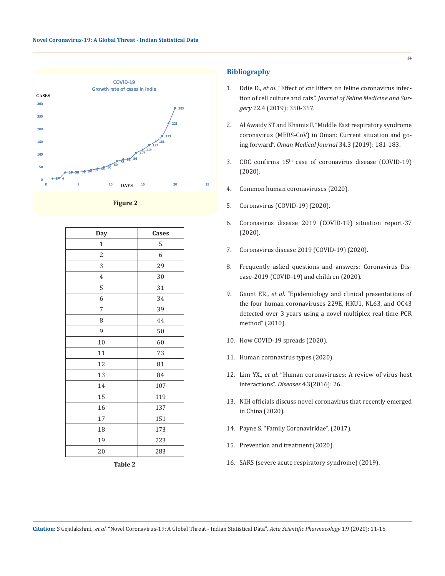



| Day            | Cases |
|----------------|-------|
| $\mathbf{1}$   | 5     |
| $\overline{c}$ | 6     |
| 3              | 29    |
| $\overline{4}$ | 30    |
| 5              | 31    |
| 6              | 34    |
| 7              | 39    |
| 8              | 44    |
| 9              | 50    |
| 10             | 60    |
| 11             | 73    |
| 12             | 81    |
| 13             | 84    |
| 14             | 107   |
| 15             | 119   |
| 16             | 137   |
| 17             | 151   |
| 18             | 173   |
| 19             | 223   |
| 20             | 283   |

**Table 2**

# **Bibliography**

- 1. Ddie D., *et al*[. "Effect of cat litters on feline coronavirus infec](https://pubmed.ncbi.nlm.nih.gov/31094626/)tion of cell culture and cats". *[Journal of Feline Medicine and Sur](https://pubmed.ncbi.nlm.nih.gov/31094626/)gery* [22.4 \(2019\): 350-357.](https://pubmed.ncbi.nlm.nih.gov/31094626/)
- 2. [Al Awaidy ST and Khamis F. "Middle East respiratory syndrome](https://www.ncbi.nlm.nih.gov/pmc/articles/PMC6505341/)  [coronavirus \(MERS-CoV\) in Oman: Current situation and go](https://www.ncbi.nlm.nih.gov/pmc/articles/PMC6505341/)ing forward". *[Oman Medical Journal](https://www.ncbi.nlm.nih.gov/pmc/articles/PMC6505341/)* 34.3 (2019): 181-183.
- 3. CDC confirms 15[th case of coronavirus disease \(COVID-19\)](https://www.cdc.gov/media/releases/2020/s0213-15th-coronavirus-case.html)  [\(2020\).](https://www.cdc.gov/media/releases/2020/s0213-15th-coronavirus-case.html)
- 4. [Common human coronaviruses \(2020\).](https://www.cdc.gov/coronavirus/general-information.html)
- 5. Coronavirus (COVID-19) (2020).
- 6. [Coronavirus disease 2019 \(COVID-19\) situation report-37](https://www.who.int/docs/default-source/coronaviruse/situation-reports/20200226-sitrep-37-covid-19.pdf?sfvrsn=2146841e_2)  [\(2020\).](https://www.who.int/docs/default-source/coronaviruse/situation-reports/20200226-sitrep-37-covid-19.pdf?sfvrsn=2146841e_2)
- 7. [Coronavirus disease 2019 \(COVID-19\) \(2020\).](https://www.cdc.gov/coronavirus/2019-ncov/index.html)
- 8. [Frequently asked questions and answers: Coronavirus Dis](https://www.cdc.gov/coronavirus/2019-ncov/specific-groups/children-faq.html)[ease-2019 \(COVID-19\) and children \(2020\).](https://www.cdc.gov/coronavirus/2019-ncov/specific-groups/children-faq.html)
- 9. Gaunt ER., *et al*[. "Epidemiology and clinical presentations of](http://jcm.asm.org/content/48/8/2940.abstract?utm_source=TrendMDJClinMicrobiol&utm_medium=TrendMDJClinMicrobiol&utm_campaign=TrendMD_JCMCLIN_0)  [the four human coronaviruses 229E, HKU1, NL63, and OC43](http://jcm.asm.org/content/48/8/2940.abstract?utm_source=TrendMDJClinMicrobiol&utm_medium=TrendMDJClinMicrobiol&utm_campaign=TrendMD_JCMCLIN_0)  [detected over 3 years using a novel multiplex real-time PCR](http://jcm.asm.org/content/48/8/2940.abstract?utm_source=TrendMDJClinMicrobiol&utm_medium=TrendMDJClinMicrobiol&utm_campaign=TrendMD_JCMCLIN_0)  [method" \(2010\).](http://jcm.asm.org/content/48/8/2940.abstract?utm_source=TrendMDJClinMicrobiol&utm_medium=TrendMDJClinMicrobiol&utm_campaign=TrendMD_JCMCLIN_0)
- 10. [How COVID-19 spreads \(2020\).](https://www.cdc.gov/coronavirus/about/transmission.html)
- 11. [Human coronavirus types \(2020\).](https://www.cdc.gov/coronavirus/types.html)
- 12. Lim YX., *et al*[. "Human coronaviruses: A review of virus-host](http://www.mdpi.com/2079-9721/4/3/26)  interactions". *Diseases* [4.3\(2016\): 26.](http://www.mdpi.com/2079-9721/4/3/26)
- 13. [NIH officials discuss novel coronavirus that recently emerged](https://www.nih.gov/news-events/news-releases/nih-officials-discuss-novel-coronavirus-recently-emerged-china)  [in China \(2020\).](https://www.nih.gov/news-events/news-releases/nih-officials-discuss-novel-coronavirus-recently-emerged-china)
- 14. [Payne S. "Family Coronaviridae". \(2017\).](https://www.sciencedirect.com/topics/neuroscience/coronavirinae)
- 15. [Prevention and treatment \(2020\).](https://www.cdc.gov/coronavirus/2019-ncov/about/prevention-treatment.html)
- 16. [SARS \(severe acute respiratory syndrome\) \(2019\).](https://www.nhs.uk/conditions/sars/)